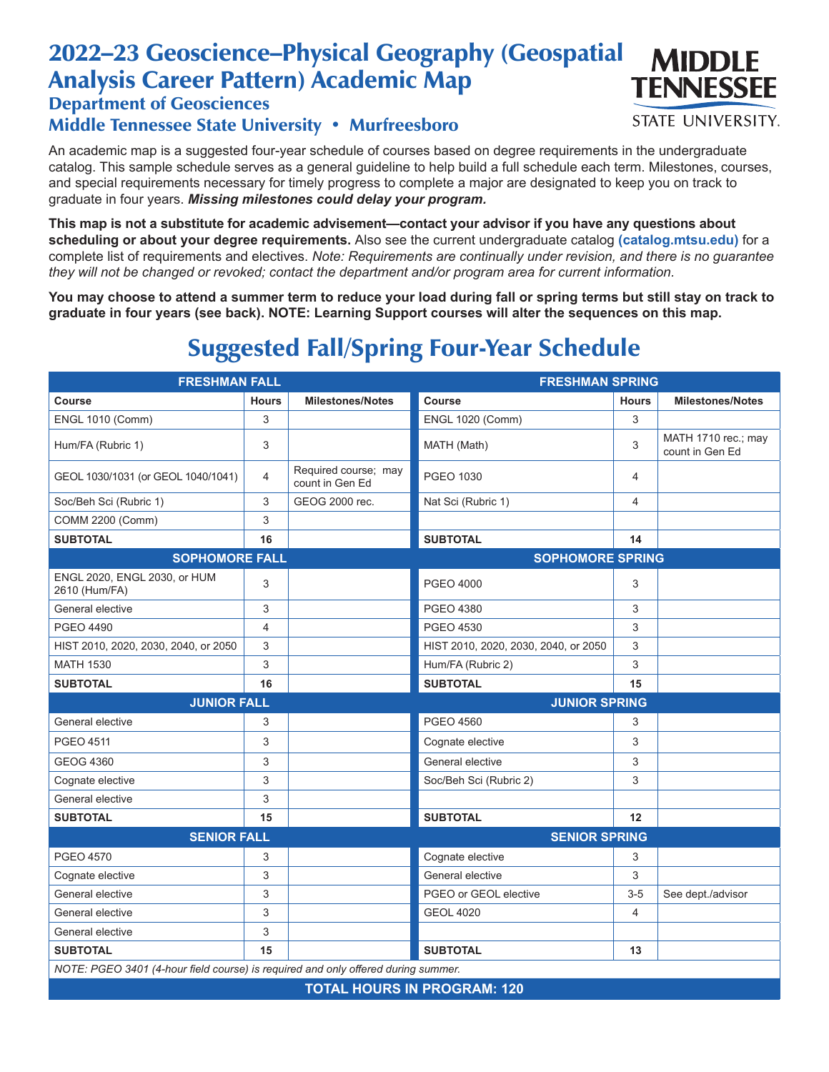## 2022–23 Geoscience–Physical Geography (Geospatial Analysis Career Pattern) Academic Map

## Department of Geosciences Middle Tennessee State University • Murfreesboro

An academic map is a suggested four-year schedule of courses based on degree requirements in the undergraduate catalog. This sample schedule serves as a general guideline to help build a full schedule each term. Milestones, courses, and special requirements necessary for timely progress to complete a major are designated to keep you on track to graduate in four years. *Missing milestones could delay your program.*

**This map is not a substitute for academic advisement—contact your advisor if you have any questions about scheduling or about your degree requirements.** Also see the current undergraduate catalog **(catalog.mtsu.edu)** for a complete list of requirements and electives. *Note: Requirements are continually under revision, and there is no guarantee they will not be changed or revoked; contact the department and/or program area for current information.*

**You may choose to attend a summer term to reduce your load during fall or spring terms but still stay on track to graduate in four years (see back). NOTE: Learning Support courses will alter the sequences on this map.**

## Suggested Fall/Spring Four-Year Schedule

| <b>FRESHMAN FALL</b>                                                              |                |                                         | <b>FRESHMAN SPRING</b>               |              |                                        |  |  |
|-----------------------------------------------------------------------------------|----------------|-----------------------------------------|--------------------------------------|--------------|----------------------------------------|--|--|
| Course                                                                            | <b>Hours</b>   | <b>Milestones/Notes</b>                 | Course                               | <b>Hours</b> | <b>Milestones/Notes</b>                |  |  |
| <b>ENGL 1010 (Comm)</b>                                                           | 3              |                                         | <b>ENGL 1020 (Comm)</b>              | 3            |                                        |  |  |
| Hum/FA (Rubric 1)                                                                 | 3              |                                         | MATH (Math)                          | 3            | MATH 1710 rec.; may<br>count in Gen Ed |  |  |
| GEOL 1030/1031 (or GEOL 1040/1041)                                                | 4              | Required course; may<br>count in Gen Ed | PGEO 1030                            | 4            |                                        |  |  |
| Soc/Beh Sci (Rubric 1)                                                            | 3              | GEOG 2000 rec.                          | Nat Sci (Rubric 1)                   | 4            |                                        |  |  |
| COMM 2200 (Comm)                                                                  | 3              |                                         |                                      |              |                                        |  |  |
| <b>SUBTOTAL</b>                                                                   | 16             |                                         | <b>SUBTOTAL</b>                      | 14           |                                        |  |  |
| <b>SOPHOMORE FALL</b>                                                             |                |                                         | <b>SOPHOMORE SPRING</b>              |              |                                        |  |  |
| ENGL 2020, ENGL 2030, or HUM<br>2610 (Hum/FA)                                     | 3              |                                         | <b>PGEO 4000</b>                     | 3            |                                        |  |  |
| General elective                                                                  | 3              |                                         | PGEO 4380                            | 3            |                                        |  |  |
| <b>PGEO 4490</b>                                                                  | $\overline{4}$ |                                         | PGEO 4530                            | 3            |                                        |  |  |
| HIST 2010, 2020, 2030, 2040, or 2050                                              | 3              |                                         | HIST 2010, 2020, 2030, 2040, or 2050 | 3            |                                        |  |  |
| <b>MATH 1530</b>                                                                  | 3              |                                         | Hum/FA (Rubric 2)                    | 3            |                                        |  |  |
| <b>SUBTOTAL</b>                                                                   | 16             |                                         | <b>SUBTOTAL</b>                      | 15           |                                        |  |  |
| <b>JUNIOR FALL</b>                                                                |                |                                         | <b>JUNIOR SPRING</b>                 |              |                                        |  |  |
| General elective                                                                  | 3              |                                         | <b>PGEO 4560</b>                     | 3            |                                        |  |  |
| <b>PGEO 4511</b>                                                                  | 3              |                                         | Cognate elective                     | 3            |                                        |  |  |
| <b>GEOG 4360</b>                                                                  | 3              |                                         | General elective                     | 3            |                                        |  |  |
| Cognate elective                                                                  | 3              |                                         | Soc/Beh Sci (Rubric 2)               | 3            |                                        |  |  |
| General elective                                                                  | 3              |                                         |                                      |              |                                        |  |  |
| <b>SUBTOTAL</b>                                                                   | 15             |                                         | <b>SUBTOTAL</b>                      | 12           |                                        |  |  |
| <b>SENIOR FALL</b>                                                                |                |                                         | <b>SENIOR SPRING</b>                 |              |                                        |  |  |
| <b>PGEO 4570</b>                                                                  | 3              |                                         | Cognate elective                     | 3            |                                        |  |  |
| Cognate elective                                                                  | 3              |                                         | General elective                     | 3            |                                        |  |  |
| General elective                                                                  | 3              |                                         | PGEO or GEOL elective                | $3-5$        | See dept./advisor                      |  |  |
| General elective                                                                  | 3              |                                         | <b>GEOL 4020</b>                     | 4            |                                        |  |  |
| General elective                                                                  | 3              |                                         |                                      |              |                                        |  |  |
| <b>SUBTOTAL</b>                                                                   | 15             |                                         | <b>SUBTOTAL</b>                      | 13           |                                        |  |  |
| NOTE: PGEO 3401 (4-hour field course) is required and only offered during summer. |                |                                         |                                      |              |                                        |  |  |
| <b>TOTAL HOURS IN PROGRAM: 120</b>                                                |                |                                         |                                      |              |                                        |  |  |



**STATE UNIVERSITY.**